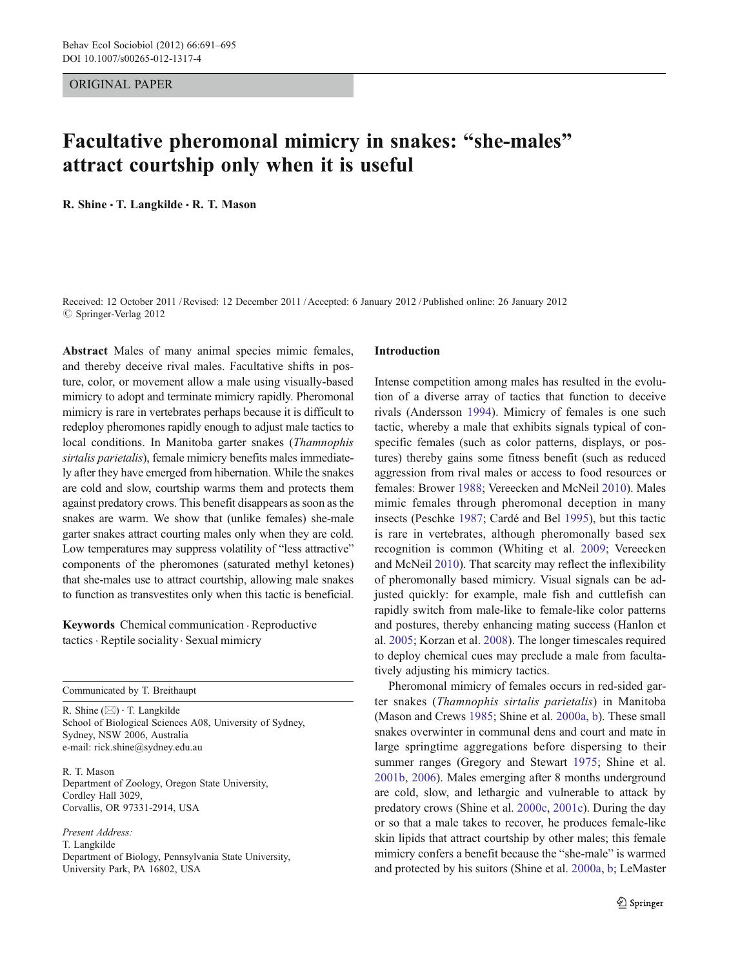ORIGINAL PAPER

# Facultative pheromonal mimicry in snakes: "she-males" attract courtship only when it is useful

R. Shine . T. Langkilde . R. T. Mason

Received: 12 October 2011 /Revised: 12 December 2011 /Accepted: 6 January 2012 / Published online: 26 January 2012  $\circ$  Springer-Verlag 2012

Abstract Males of many animal species mimic females, and thereby deceive rival males. Facultative shifts in posture, color, or movement allow a male using visually-based mimicry to adopt and terminate mimicry rapidly. Pheromonal mimicry is rare in vertebrates perhaps because it is difficult to redeploy pheromones rapidly enough to adjust male tactics to local conditions. In Manitoba garter snakes (Thamnophis sirtalis parietalis), female mimicry benefits males immediately after they have emerged from hibernation. While the snakes are cold and slow, courtship warms them and protects them against predatory crows. This benefit disappears as soon as the snakes are warm. We show that (unlike females) she-male garter snakes attract courting males only when they are cold. Low temperatures may suppress volatility of "less attractive" components of the pheromones (saturated methyl ketones) that she-males use to attract courtship, allowing male snakes to function as transvestites only when this tactic is beneficial.

Keywords Chemical communication . Reproductive tactics . Reptile sociality. Sexual mimicry

Communicated by T. Breithaupt

R. Shine  $(\boxtimes) \cdot$  T. Langkilde School of Biological Sciences A08, University of Sydney, Sydney, NSW 2006, Australia e-mail: rick.shine@sydney.edu.au

R. T. Mason Department of Zoology, Oregon State University, Cordley Hall 3029, Corvallis, OR 97331-2914, USA

Present Address: T. Langkilde Department of Biology, Pennsylvania State University, University Park, PA 16802, USA

#### Introduction

Intense competition among males has resulted in the evolution of a diverse array of tactics that function to deceive rivals (Andersson [1994\)](#page-3-0). Mimicry of females is one such tactic, whereby a male that exhibits signals typical of conspecific females (such as color patterns, displays, or postures) thereby gains some fitness benefit (such as reduced aggression from rival males or access to food resources or females: Brower [1988;](#page-3-0) Vereecken and McNeil [2010\)](#page-4-0). Males mimic females through pheromonal deception in many insects (Peschke [1987;](#page-3-0) Cardé and Bel [1995](#page-3-0)), but this tactic is rare in vertebrates, although pheromonally based sex recognition is common (Whiting et al. [2009](#page-4-0); Vereecken and McNeil [2010](#page-4-0)). That scarcity may reflect the inflexibility of pheromonally based mimicry. Visual signals can be adjusted quickly: for example, male fish and cuttlefish can rapidly switch from male-like to female-like color patterns and postures, thereby enhancing mating success (Hanlon et al. [2005;](#page-3-0) Korzan et al. [2008](#page-3-0)). The longer timescales required to deploy chemical cues may preclude a male from facultatively adjusting his mimicry tactics.

Pheromonal mimicry of females occurs in red-sided garter snakes (Thamnophis sirtalis parietalis) in Manitoba (Mason and Crews [1985](#page-3-0); Shine et al. [2000a,](#page-3-0) [b\)](#page-3-0). These small snakes overwinter in communal dens and court and mate in large springtime aggregations before dispersing to their summer ranges (Gregory and Stewart [1975](#page-3-0); Shine et al. [2001b](#page-3-0), [2006\)](#page-4-0). Males emerging after 8 months underground are cold, slow, and lethargic and vulnerable to attack by predatory crows (Shine et al. [2000c](#page-3-0), [2001c](#page-3-0)). During the day or so that a male takes to recover, he produces female-like skin lipids that attract courtship by other males; this female mimicry confers a benefit because the "she-male" is warmed and protected by his suitors (Shine et al. [2000a](#page-3-0), [b](#page-3-0); LeMaster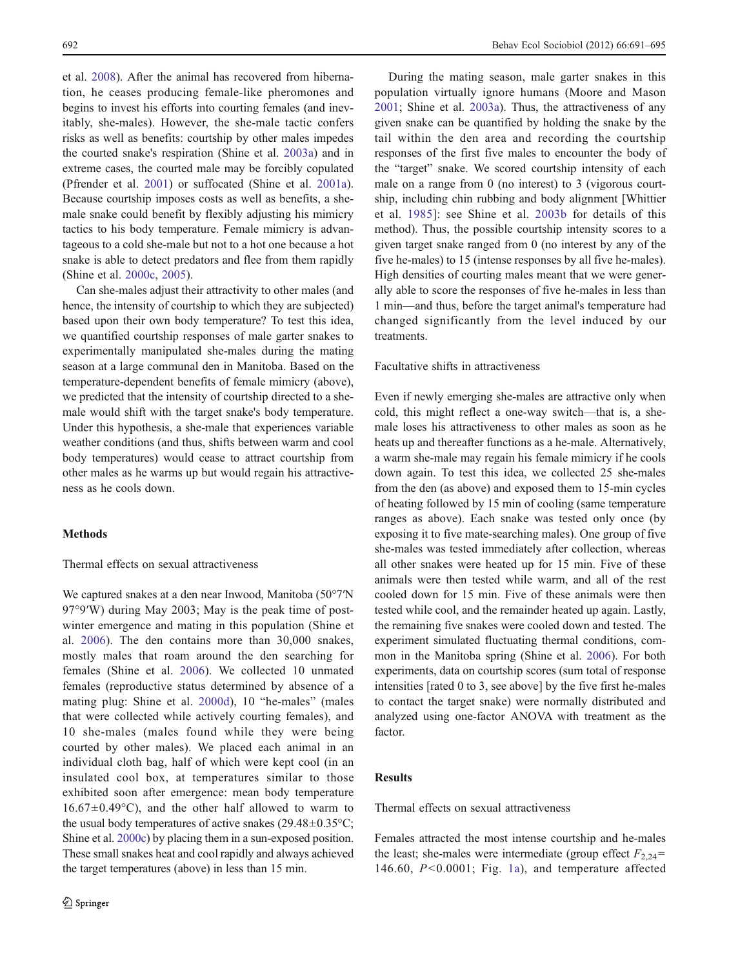et al. [2008\)](#page-3-0). After the animal has recovered from hibernation, he ceases producing female-like pheromones and begins to invest his efforts into courting females (and inevitably, she-males). However, the she-male tactic confers risks as well as benefits: courtship by other males impedes the courted snake's respiration (Shine et al. [2003a](#page-3-0)) and in extreme cases, the courted male may be forcibly copulated (Pfrender et al. [2001\)](#page-3-0) or suffocated (Shine et al. [2001a](#page-3-0)). Because courtship imposes costs as well as benefits, a shemale snake could benefit by flexibly adjusting his mimicry tactics to his body temperature. Female mimicry is advantageous to a cold she-male but not to a hot one because a hot snake is able to detect predators and flee from them rapidly (Shine et al. [2000c,](#page-3-0) [2005](#page-4-0)).

Can she-males adjust their attractivity to other males (and hence, the intensity of courtship to which they are subjected) based upon their own body temperature? To test this idea, we quantified courtship responses of male garter snakes to experimentally manipulated she-males during the mating season at a large communal den in Manitoba. Based on the temperature-dependent benefits of female mimicry (above), we predicted that the intensity of courtship directed to a shemale would shift with the target snake's body temperature. Under this hypothesis, a she-male that experiences variable weather conditions (and thus, shifts between warm and cool body temperatures) would cease to attract courtship from other males as he warms up but would regain his attractiveness as he cools down.

## **Methods**

#### Thermal effects on sexual attractiveness

We captured snakes at a den near Inwood, Manitoba (50°7′N 97°9′W) during May 2003; May is the peak time of postwinter emergence and mating in this population (Shine et al. [2006\)](#page-4-0). The den contains more than 30,000 snakes, mostly males that roam around the den searching for females (Shine et al. [2006](#page-4-0)). We collected 10 unmated females (reproductive status determined by absence of a mating plug: Shine et al. [2000d\)](#page-3-0), 10 "he-males" (males that were collected while actively courting females), and 10 she-males (males found while they were being courted by other males). We placed each animal in an individual cloth bag, half of which were kept cool (in an insulated cool box, at temperatures similar to those exhibited soon after emergence: mean body temperature  $16.67 \pm 0.49$ °C), and the other half allowed to warm to the usual body temperatures of active snakes  $(29.48 \pm 0.35^{\circ}C)$ ; Shine et al. [2000c\)](#page-3-0) by placing them in a sun-exposed position. These small snakes heat and cool rapidly and always achieved the target temperatures (above) in less than 15 min.

During the mating season, male garter snakes in this population virtually ignore humans (Moore and Mason [2001](#page-3-0); Shine et al. [2003a](#page-3-0)). Thus, the attractiveness of any given snake can be quantified by holding the snake by the tail within the den area and recording the courtship responses of the first five males to encounter the body of the "target" snake. We scored courtship intensity of each male on a range from 0 (no interest) to 3 (vigorous courtship, including chin rubbing and body alignment [Whittier et al. [1985\]](#page-4-0): see Shine et al. [2003b](#page-3-0) for details of this method). Thus, the possible courtship intensity scores to a given target snake ranged from 0 (no interest by any of the five he-males) to 15 (intense responses by all five he-males). High densities of courting males meant that we were generally able to score the responses of five he-males in less than 1 min—and thus, before the target animal's temperature had changed significantly from the level induced by our treatments.

Facultative shifts in attractiveness

Even if newly emerging she-males are attractive only when cold, this might reflect a one-way switch—that is, a shemale loses his attractiveness to other males as soon as he heats up and thereafter functions as a he-male. Alternatively, a warm she-male may regain his female mimicry if he cools down again. To test this idea, we collected 25 she-males from the den (as above) and exposed them to 15-min cycles of heating followed by 15 min of cooling (same temperature ranges as above). Each snake was tested only once (by exposing it to five mate-searching males). One group of five she-males was tested immediately after collection, whereas all other snakes were heated up for 15 min. Five of these animals were then tested while warm, and all of the rest cooled down for 15 min. Five of these animals were then tested while cool, and the remainder heated up again. Lastly, the remaining five snakes were cooled down and tested. The experiment simulated fluctuating thermal conditions, common in the Manitoba spring (Shine et al. [2006](#page-4-0)). For both experiments, data on courtship scores (sum total of response intensities [rated 0 to 3, see above] by the five first he-males to contact the target snake) were normally distributed and analyzed using one-factor ANOVA with treatment as the factor.

#### **Results**

Thermal effects on sexual attractiveness

Females attracted the most intense courtship and he-males the least; she-males were intermediate (group effect  $F_{2,24}$ = 146.60, P<0.0001; Fig. [1a](#page-2-0)), and temperature affected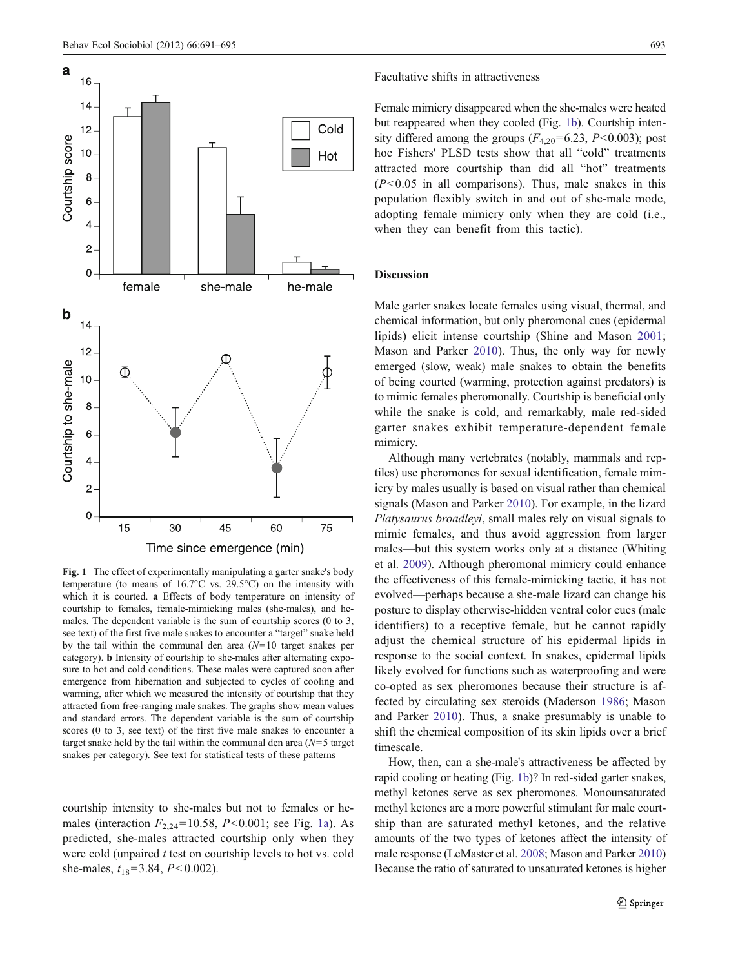<span id="page-2-0"></span>

Fig. 1 The effect of experimentally manipulating a garter snake's body temperature (to means of 16.7°C vs. 29.5°C) on the intensity with which it is courted. a Effects of body temperature on intensity of courtship to females, female-mimicking males (she-males), and hemales. The dependent variable is the sum of courtship scores (0 to 3, see text) of the first five male snakes to encounter a "target" snake held by the tail within the communal den area  $(N=10$  target snakes per category). b Intensity of courtship to she-males after alternating exposure to hot and cold conditions. These males were captured soon after emergence from hibernation and subjected to cycles of cooling and warming, after which we measured the intensity of courtship that they attracted from free-ranging male snakes. The graphs show mean values and standard errors. The dependent variable is the sum of courtship scores (0 to 3, see text) of the first five male snakes to encounter a target snake held by the tail within the communal den area  $(N=5$  target snakes per category). See text for statistical tests of these patterns

courtship intensity to she-males but not to females or hemales (interaction  $F_{2,24}$ =10.58, P<0.001; see Fig. 1a). As predicted, she-males attracted courtship only when they were cold (unpaired  $t$  test on courtship levels to hot vs. cold she-males,  $t_{18}=3.84$ ,  $P<0.002$ ).

#### Facultative shifts in attractiveness

Female mimicry disappeared when the she-males were heated but reappeared when they cooled (Fig. 1b). Courtship intensity differed among the groups  $(F_{4,20} = 6.23, P < 0.003)$ ; post hoc Fishers' PLSD tests show that all "cold" treatments attracted more courtship than did all "hot" treatments  $(P<0.05$  in all comparisons). Thus, male snakes in this population flexibly switch in and out of she-male mode, adopting female mimicry only when they are cold (i.e., when they can benefit from this tactic).

#### Discussion

Male garter snakes locate females using visual, thermal, and chemical information, but only pheromonal cues (epidermal lipids) elicit intense courtship (Shine and Mason [2001;](#page-3-0) Mason and Parker [2010\)](#page-3-0). Thus, the only way for newly emerged (slow, weak) male snakes to obtain the benefits of being courted (warming, protection against predators) is to mimic females pheromonally. Courtship is beneficial only while the snake is cold, and remarkably, male red-sided garter snakes exhibit temperature-dependent female mimicry.

Although many vertebrates (notably, mammals and reptiles) use pheromones for sexual identification, female mimicry by males usually is based on visual rather than chemical signals (Mason and Parker [2010\)](#page-3-0). For example, in the lizard Platysaurus broadleyi, small males rely on visual signals to mimic females, and thus avoid aggression from larger males—but this system works only at a distance (Whiting et al. [2009](#page-4-0)). Although pheromonal mimicry could enhance the effectiveness of this female-mimicking tactic, it has not evolved—perhaps because a she-male lizard can change his posture to display otherwise-hidden ventral color cues (male identifiers) to a receptive female, but he cannot rapidly adjust the chemical structure of his epidermal lipids in response to the social context. In snakes, epidermal lipids likely evolved for functions such as waterproofing and were co-opted as sex pheromones because their structure is affected by circulating sex steroids (Maderson [1986;](#page-3-0) Mason and Parker [2010](#page-3-0)). Thus, a snake presumably is unable to shift the chemical composition of its skin lipids over a brief timescale.

How, then, can a she-male's attractiveness be affected by rapid cooling or heating (Fig. 1b)? In red-sided garter snakes, methyl ketones serve as sex pheromones. Monounsaturated methyl ketones are a more powerful stimulant for male courtship than are saturated methyl ketones, and the relative amounts of the two types of ketones affect the intensity of male response (LeMaster et al. [2008;](#page-3-0) Mason and Parker [2010](#page-3-0)) Because the ratio of saturated to unsaturated ketones is higher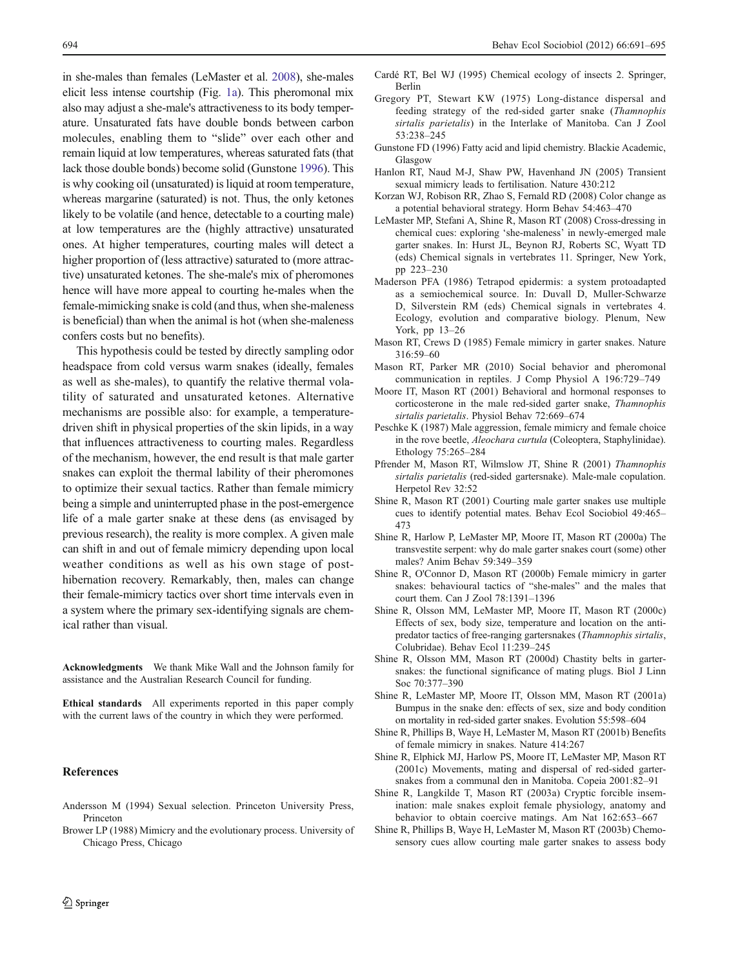<span id="page-3-0"></span>in she-males than females (LeMaster et al. 2008), she-males elicit less intense courtship (Fig. [1a\)](#page-2-0). This pheromonal mix also may adjust a she-male's attractiveness to its body temperature. Unsaturated fats have double bonds between carbon molecules, enabling them to "slide" over each other and remain liquid at low temperatures, whereas saturated fats (that lack those double bonds) become solid (Gunstone 1996). This is why cooking oil (unsaturated) is liquid at room temperature, whereas margarine (saturated) is not. Thus, the only ketones likely to be volatile (and hence, detectable to a courting male) at low temperatures are the (highly attractive) unsaturated ones. At higher temperatures, courting males will detect a higher proportion of (less attractive) saturated to (more attractive) unsaturated ketones. The she-male's mix of pheromones hence will have more appeal to courting he-males when the female-mimicking snake is cold (and thus, when she-maleness is beneficial) than when the animal is hot (when she-maleness confers costs but no benefits).

This hypothesis could be tested by directly sampling odor headspace from cold versus warm snakes (ideally, females as well as she-males), to quantify the relative thermal volatility of saturated and unsaturated ketones. Alternative mechanisms are possible also: for example, a temperaturedriven shift in physical properties of the skin lipids, in a way that influences attractiveness to courting males. Regardless of the mechanism, however, the end result is that male garter snakes can exploit the thermal lability of their pheromones to optimize their sexual tactics. Rather than female mimicry being a simple and uninterrupted phase in the post-emergence life of a male garter snake at these dens (as envisaged by previous research), the reality is more complex. A given male can shift in and out of female mimicry depending upon local weather conditions as well as his own stage of posthibernation recovery. Remarkably, then, males can change their female-mimicry tactics over short time intervals even in a system where the primary sex-identifying signals are chemical rather than visual.

Acknowledgments We thank Mike Wall and the Johnson family for assistance and the Australian Research Council for funding.

Ethical standards All experiments reported in this paper comply with the current laws of the country in which they were performed.

### References

- Andersson M (1994) Sexual selection. Princeton University Press, Princeton
- Brower LP (1988) Mimicry and the evolutionary process. University of Chicago Press, Chicago
- Cardé RT, Bel WJ (1995) Chemical ecology of insects 2. Springer, Berlin
- Gregory PT, Stewart KW (1975) Long-distance dispersal and feeding strategy of the red-sided garter snake (Thamnophis sirtalis parietalis) in the Interlake of Manitoba. Can J Zool 53:238–245
- Gunstone FD (1996) Fatty acid and lipid chemistry. Blackie Academic, Glasgow
- Hanlon RT, Naud M-J, Shaw PW, Havenhand JN (2005) Transient sexual mimicry leads to fertilisation. Nature 430:212
- Korzan WJ, Robison RR, Zhao S, Fernald RD (2008) Color change as a potential behavioral strategy. Horm Behav 54:463–470
- LeMaster MP, Stefani A, Shine R, Mason RT (2008) Cross-dressing in chemical cues: exploring 'she-maleness' in newly-emerged male garter snakes. In: Hurst JL, Beynon RJ, Roberts SC, Wyatt TD (eds) Chemical signals in vertebrates 11. Springer, New York, pp 223–230
- Maderson PFA (1986) Tetrapod epidermis: a system protoadapted as a semiochemical source. In: Duvall D, Muller-Schwarze D, Silverstein RM (eds) Chemical signals in vertebrates 4. Ecology, evolution and comparative biology. Plenum, New York, pp 13–26
- Mason RT, Crews D (1985) Female mimicry in garter snakes. Nature 316:59–60
- Mason RT, Parker MR (2010) Social behavior and pheromonal communication in reptiles. J Comp Physiol A 196:729–749
- Moore IT, Mason RT (2001) Behavioral and hormonal responses to corticosterone in the male red-sided garter snake, Thamnophis sirtalis parietalis. Physiol Behav 72:669–674
- Peschke K (1987) Male aggression, female mimicry and female choice in the rove beetle, Aleochara curtula (Coleoptera, Staphylinidae). Ethology 75:265–284
- Pfrender M, Mason RT, Wilmslow JT, Shine R (2001) Thamnophis sirtalis parietalis (red-sided gartersnake). Male-male copulation. Herpetol Rev 32:52
- Shine R, Mason RT (2001) Courting male garter snakes use multiple cues to identify potential mates. Behav Ecol Sociobiol 49:465– 473
- Shine R, Harlow P, LeMaster MP, Moore IT, Mason RT (2000a) The transvestite serpent: why do male garter snakes court (some) other males? Anim Behav 59:349–359
- Shine R, O'Connor D, Mason RT (2000b) Female mimicry in garter snakes: behavioural tactics of "she-males" and the males that court them. Can J Zool 78:1391–1396
- Shine R, Olsson MM, LeMaster MP, Moore IT, Mason RT (2000c) Effects of sex, body size, temperature and location on the antipredator tactics of free-ranging gartersnakes (Thamnophis sirtalis, Colubridae). Behav Ecol 11:239–245
- Shine R, Olsson MM, Mason RT (2000d) Chastity belts in gartersnakes: the functional significance of mating plugs. Biol J Linn Soc 70:377–390
- Shine R, LeMaster MP, Moore IT, Olsson MM, Mason RT (2001a) Bumpus in the snake den: effects of sex, size and body condition on mortality in red-sided garter snakes. Evolution 55:598–604
- Shine R, Phillips B, Waye H, LeMaster M, Mason RT (2001b) Benefits of female mimicry in snakes. Nature 414:267
- Shine R, Elphick MJ, Harlow PS, Moore IT, LeMaster MP, Mason RT (2001c) Movements, mating and dispersal of red-sided gartersnakes from a communal den in Manitoba. Copeia 2001:82–91
- Shine R, Langkilde T, Mason RT (2003a) Cryptic forcible insemination: male snakes exploit female physiology, anatomy and behavior to obtain coercive matings. Am Nat 162:653–667
- Shine R, Phillips B, Waye H, LeMaster M, Mason RT (2003b) Chemosensory cues allow courting male garter snakes to assess body